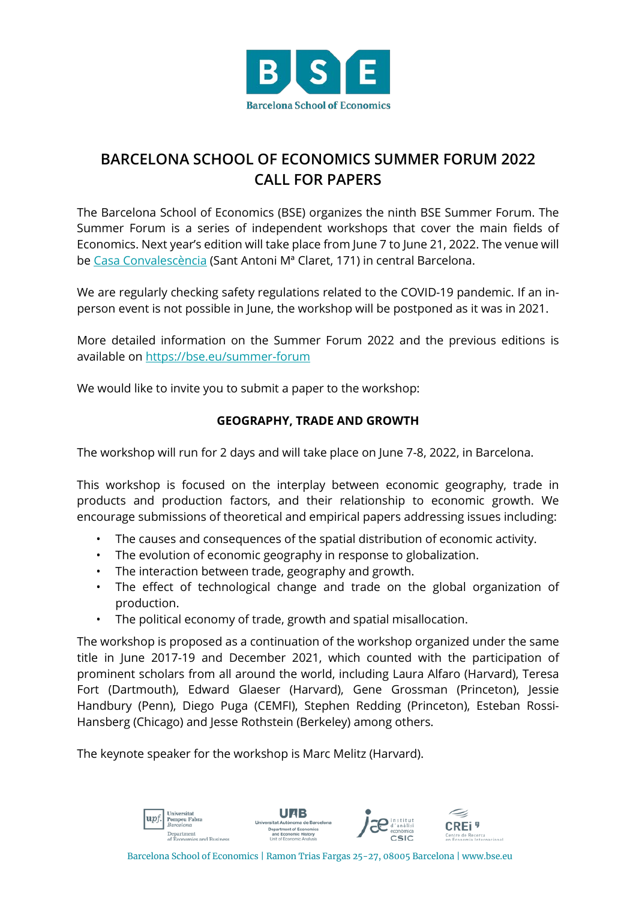

## **BARCELONA SCHOOL OF ECONOMICS SUMMER FORUM 2022 CALL FOR PAPERS**

The Barcelona School of Economics (BSE) organizes the ninth BSE Summer Forum. The Summer Forum is a series of independent workshops that cover the main fields of Economics. Next year's edition will take place from June 7 to June 21, 2022. The venue will be [Casa Convalescència](https://www.uab-casaconvalescencia.org/en/how-to-get-there.php) (Sant Antoni Mª Claret, 171) in central Barcelona.

We are regularly checking safety regulations related to the COVID-19 pandemic. If an inperson event is not possible in June, the workshop will be postponed as it was in 2021.

More detailed information on the Summer Forum 2022 and the previous editions is available on<https://bse.eu/summer-forum>

We would like to invite you to submit a paper to the workshop:

## **GEOGRAPHY, TRADE AND GROWTH**

The workshop will run for 2 days and will take place on June 7-8, 2022, in Barcelona.

This workshop is focused on the interplay between economic geography, trade in products and production factors, and their relationship to economic growth. We encourage submissions of theoretical and empirical papers addressing issues including:

- The causes and consequences of the spatial distribution of economic activity.
- The evolution of economic geography in response to globalization.
- The interaction between trade, geography and growth.
- The effect of technological change and trade on the global organization of production.
- The political economy of trade, growth and spatial misallocation.

The workshop is proposed as a continuation of the workshop organized under the same title in June 2017-19 and December 2021, which counted with the participation of prominent scholars from all around the world, including Laura Alfaro (Harvard), Teresa Fort (Dartmouth), Edward Glaeser (Harvard), Gene Grossman (Princeton), Jessie Handbury (Penn), Diego Puga (CEMFI), Stephen Redding (Princeton), Esteban Rossi-Hansberg (Chicago) and Jesse Rothstein (Berkeley) among others.

The keynote speaker for the workshop is Marc Melitz (Harvard).



Barcelona School of Economics | Ramon Trias Fargas 25-27, 08005 Barcelona | www.bse.eu